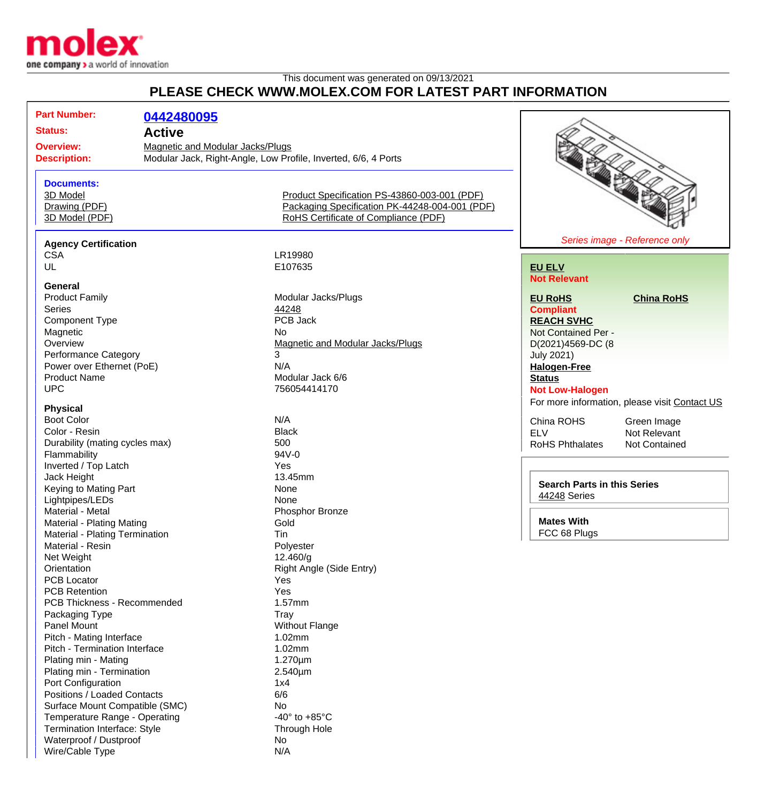

Wire/Cable Type N/A

## This document was generated on 09/13/2021 **PLEASE CHECK WWW.MOLEX.COM FOR LATEST PART INFORMATION**

| <b>Status:</b><br><b>Active</b><br><b>Magnetic and Modular Jacks/Plugs</b><br><b>Overview:</b><br>Modular Jack, Right-Angle, Low Profile, Inverted, 6/6, 4 Ports<br><b>Description:</b><br><b>Documents:</b><br>3D Model<br>Product Specification PS-43860-003-001 (PDF)<br>Packaging Specification PK-44248-004-001 (PDF)<br>Drawing (PDF)<br>RoHS Certificate of Compliance (PDF)<br>3D Model (PDF)<br>Series image - Reference only<br><b>Agency Certification</b><br>LR19980<br><b>CSA</b><br>UL<br>E107635<br><b>EU ELV</b><br><b>Not Relevant</b><br>General<br><b>Product Family</b><br>Modular Jacks/Plugs<br><b>China RoHS</b><br><b>EU RoHS</b><br>Series<br>44248<br><b>Compliant</b><br>PCB Jack<br><b>Component Type</b><br><b>REACH SVHC</b><br>Magnetic<br>No<br>Not Contained Per -<br>Overview<br>Magnetic and Modular Jacks/Plugs<br>D(2021)4569-DC (8<br>3<br><b>Performance Category</b><br><b>July 2021)</b><br>N/A<br>Power over Ethernet (PoE)<br><b>Halogen-Free</b><br><b>Product Name</b><br>Modular Jack 6/6<br><b>Status</b><br><b>UPC</b><br>756054414170<br><b>Not Low-Halogen</b><br>For more information, please visit Contact US<br><b>Physical</b><br><b>Boot Color</b><br>N/A<br>China ROHS<br>Green Image<br>Color - Resin<br><b>Black</b><br><b>ELV</b><br>Not Relevant<br>Durability (mating cycles max)<br>500<br>RoHS Phthalates<br>Not Contained<br>Flammability<br>94V-0<br>Inverted / Top Latch<br>Yes<br>Jack Height<br>13.45mm<br><b>Search Parts in this Series</b><br>Keying to Mating Part<br>None<br>44248 Series<br>Lightpipes/LEDs<br>None<br>Material - Metal<br>Phosphor Bronze<br><b>Mates With</b><br>Gold<br>Material - Plating Mating<br>FCC 68 Plugs<br>Tin<br>Material - Plating Termination<br>Polyester<br>Material - Resin<br>Net Weight<br>12.460/g<br>Orientation<br>Right Angle (Side Entry)<br><b>PCB Locator</b><br>Yes<br><b>PCB Retention</b><br>Yes<br>1.57mm<br>PCB Thickness - Recommended<br>Packaging Type<br>Tray<br>Panel Mount<br><b>Without Flange</b><br>Pitch - Mating Interface<br>1.02mm<br>Pitch - Termination Interface<br>1.02mm<br>Plating min - Mating<br>$1.270 \mu m$<br>Plating min - Termination<br>$2.540 \mu m$<br>Port Configuration<br>1x4<br>Positions / Loaded Contacts<br>6/6<br>Surface Mount Compatible (SMC)<br>No<br>Temperature Range - Operating<br>-40 $\degree$ to +85 $\degree$ C<br>Termination Interface: Style<br><b>Through Hole</b><br>Waterproof / Dustproof<br>No |                     |  |            |  |  |  |
|-------------------------------------------------------------------------------------------------------------------------------------------------------------------------------------------------------------------------------------------------------------------------------------------------------------------------------------------------------------------------------------------------------------------------------------------------------------------------------------------------------------------------------------------------------------------------------------------------------------------------------------------------------------------------------------------------------------------------------------------------------------------------------------------------------------------------------------------------------------------------------------------------------------------------------------------------------------------------------------------------------------------------------------------------------------------------------------------------------------------------------------------------------------------------------------------------------------------------------------------------------------------------------------------------------------------------------------------------------------------------------------------------------------------------------------------------------------------------------------------------------------------------------------------------------------------------------------------------------------------------------------------------------------------------------------------------------------------------------------------------------------------------------------------------------------------------------------------------------------------------------------------------------------------------------------------------------------------------------------------------------------------------------------------------------------------------------------------------------------------------------------------------------------------------------------------------------------------------------------------------------------------------------------------------------------------------------------------------------------------------------------------------------------------------------------------------------------------------------------|---------------------|--|------------|--|--|--|
|                                                                                                                                                                                                                                                                                                                                                                                                                                                                                                                                                                                                                                                                                                                                                                                                                                                                                                                                                                                                                                                                                                                                                                                                                                                                                                                                                                                                                                                                                                                                                                                                                                                                                                                                                                                                                                                                                                                                                                                                                                                                                                                                                                                                                                                                                                                                                                                                                                                                                     | <b>Part Number:</b> |  | 0442480095 |  |  |  |
|                                                                                                                                                                                                                                                                                                                                                                                                                                                                                                                                                                                                                                                                                                                                                                                                                                                                                                                                                                                                                                                                                                                                                                                                                                                                                                                                                                                                                                                                                                                                                                                                                                                                                                                                                                                                                                                                                                                                                                                                                                                                                                                                                                                                                                                                                                                                                                                                                                                                                     |                     |  |            |  |  |  |
|                                                                                                                                                                                                                                                                                                                                                                                                                                                                                                                                                                                                                                                                                                                                                                                                                                                                                                                                                                                                                                                                                                                                                                                                                                                                                                                                                                                                                                                                                                                                                                                                                                                                                                                                                                                                                                                                                                                                                                                                                                                                                                                                                                                                                                                                                                                                                                                                                                                                                     |                     |  |            |  |  |  |
|                                                                                                                                                                                                                                                                                                                                                                                                                                                                                                                                                                                                                                                                                                                                                                                                                                                                                                                                                                                                                                                                                                                                                                                                                                                                                                                                                                                                                                                                                                                                                                                                                                                                                                                                                                                                                                                                                                                                                                                                                                                                                                                                                                                                                                                                                                                                                                                                                                                                                     |                     |  |            |  |  |  |
|                                                                                                                                                                                                                                                                                                                                                                                                                                                                                                                                                                                                                                                                                                                                                                                                                                                                                                                                                                                                                                                                                                                                                                                                                                                                                                                                                                                                                                                                                                                                                                                                                                                                                                                                                                                                                                                                                                                                                                                                                                                                                                                                                                                                                                                                                                                                                                                                                                                                                     |                     |  |            |  |  |  |
|                                                                                                                                                                                                                                                                                                                                                                                                                                                                                                                                                                                                                                                                                                                                                                                                                                                                                                                                                                                                                                                                                                                                                                                                                                                                                                                                                                                                                                                                                                                                                                                                                                                                                                                                                                                                                                                                                                                                                                                                                                                                                                                                                                                                                                                                                                                                                                                                                                                                                     |                     |  |            |  |  |  |
|                                                                                                                                                                                                                                                                                                                                                                                                                                                                                                                                                                                                                                                                                                                                                                                                                                                                                                                                                                                                                                                                                                                                                                                                                                                                                                                                                                                                                                                                                                                                                                                                                                                                                                                                                                                                                                                                                                                                                                                                                                                                                                                                                                                                                                                                                                                                                                                                                                                                                     |                     |  |            |  |  |  |
|                                                                                                                                                                                                                                                                                                                                                                                                                                                                                                                                                                                                                                                                                                                                                                                                                                                                                                                                                                                                                                                                                                                                                                                                                                                                                                                                                                                                                                                                                                                                                                                                                                                                                                                                                                                                                                                                                                                                                                                                                                                                                                                                                                                                                                                                                                                                                                                                                                                                                     |                     |  |            |  |  |  |
|                                                                                                                                                                                                                                                                                                                                                                                                                                                                                                                                                                                                                                                                                                                                                                                                                                                                                                                                                                                                                                                                                                                                                                                                                                                                                                                                                                                                                                                                                                                                                                                                                                                                                                                                                                                                                                                                                                                                                                                                                                                                                                                                                                                                                                                                                                                                                                                                                                                                                     |                     |  |            |  |  |  |
|                                                                                                                                                                                                                                                                                                                                                                                                                                                                                                                                                                                                                                                                                                                                                                                                                                                                                                                                                                                                                                                                                                                                                                                                                                                                                                                                                                                                                                                                                                                                                                                                                                                                                                                                                                                                                                                                                                                                                                                                                                                                                                                                                                                                                                                                                                                                                                                                                                                                                     |                     |  |            |  |  |  |
|                                                                                                                                                                                                                                                                                                                                                                                                                                                                                                                                                                                                                                                                                                                                                                                                                                                                                                                                                                                                                                                                                                                                                                                                                                                                                                                                                                                                                                                                                                                                                                                                                                                                                                                                                                                                                                                                                                                                                                                                                                                                                                                                                                                                                                                                                                                                                                                                                                                                                     |                     |  |            |  |  |  |
|                                                                                                                                                                                                                                                                                                                                                                                                                                                                                                                                                                                                                                                                                                                                                                                                                                                                                                                                                                                                                                                                                                                                                                                                                                                                                                                                                                                                                                                                                                                                                                                                                                                                                                                                                                                                                                                                                                                                                                                                                                                                                                                                                                                                                                                                                                                                                                                                                                                                                     |                     |  |            |  |  |  |
|                                                                                                                                                                                                                                                                                                                                                                                                                                                                                                                                                                                                                                                                                                                                                                                                                                                                                                                                                                                                                                                                                                                                                                                                                                                                                                                                                                                                                                                                                                                                                                                                                                                                                                                                                                                                                                                                                                                                                                                                                                                                                                                                                                                                                                                                                                                                                                                                                                                                                     |                     |  |            |  |  |  |
|                                                                                                                                                                                                                                                                                                                                                                                                                                                                                                                                                                                                                                                                                                                                                                                                                                                                                                                                                                                                                                                                                                                                                                                                                                                                                                                                                                                                                                                                                                                                                                                                                                                                                                                                                                                                                                                                                                                                                                                                                                                                                                                                                                                                                                                                                                                                                                                                                                                                                     |                     |  |            |  |  |  |
|                                                                                                                                                                                                                                                                                                                                                                                                                                                                                                                                                                                                                                                                                                                                                                                                                                                                                                                                                                                                                                                                                                                                                                                                                                                                                                                                                                                                                                                                                                                                                                                                                                                                                                                                                                                                                                                                                                                                                                                                                                                                                                                                                                                                                                                                                                                                                                                                                                                                                     |                     |  |            |  |  |  |
|                                                                                                                                                                                                                                                                                                                                                                                                                                                                                                                                                                                                                                                                                                                                                                                                                                                                                                                                                                                                                                                                                                                                                                                                                                                                                                                                                                                                                                                                                                                                                                                                                                                                                                                                                                                                                                                                                                                                                                                                                                                                                                                                                                                                                                                                                                                                                                                                                                                                                     |                     |  |            |  |  |  |
|                                                                                                                                                                                                                                                                                                                                                                                                                                                                                                                                                                                                                                                                                                                                                                                                                                                                                                                                                                                                                                                                                                                                                                                                                                                                                                                                                                                                                                                                                                                                                                                                                                                                                                                                                                                                                                                                                                                                                                                                                                                                                                                                                                                                                                                                                                                                                                                                                                                                                     |                     |  |            |  |  |  |
|                                                                                                                                                                                                                                                                                                                                                                                                                                                                                                                                                                                                                                                                                                                                                                                                                                                                                                                                                                                                                                                                                                                                                                                                                                                                                                                                                                                                                                                                                                                                                                                                                                                                                                                                                                                                                                                                                                                                                                                                                                                                                                                                                                                                                                                                                                                                                                                                                                                                                     |                     |  |            |  |  |  |
|                                                                                                                                                                                                                                                                                                                                                                                                                                                                                                                                                                                                                                                                                                                                                                                                                                                                                                                                                                                                                                                                                                                                                                                                                                                                                                                                                                                                                                                                                                                                                                                                                                                                                                                                                                                                                                                                                                                                                                                                                                                                                                                                                                                                                                                                                                                                                                                                                                                                                     |                     |  |            |  |  |  |
|                                                                                                                                                                                                                                                                                                                                                                                                                                                                                                                                                                                                                                                                                                                                                                                                                                                                                                                                                                                                                                                                                                                                                                                                                                                                                                                                                                                                                                                                                                                                                                                                                                                                                                                                                                                                                                                                                                                                                                                                                                                                                                                                                                                                                                                                                                                                                                                                                                                                                     |                     |  |            |  |  |  |
|                                                                                                                                                                                                                                                                                                                                                                                                                                                                                                                                                                                                                                                                                                                                                                                                                                                                                                                                                                                                                                                                                                                                                                                                                                                                                                                                                                                                                                                                                                                                                                                                                                                                                                                                                                                                                                                                                                                                                                                                                                                                                                                                                                                                                                                                                                                                                                                                                                                                                     |                     |  |            |  |  |  |
|                                                                                                                                                                                                                                                                                                                                                                                                                                                                                                                                                                                                                                                                                                                                                                                                                                                                                                                                                                                                                                                                                                                                                                                                                                                                                                                                                                                                                                                                                                                                                                                                                                                                                                                                                                                                                                                                                                                                                                                                                                                                                                                                                                                                                                                                                                                                                                                                                                                                                     |                     |  |            |  |  |  |
|                                                                                                                                                                                                                                                                                                                                                                                                                                                                                                                                                                                                                                                                                                                                                                                                                                                                                                                                                                                                                                                                                                                                                                                                                                                                                                                                                                                                                                                                                                                                                                                                                                                                                                                                                                                                                                                                                                                                                                                                                                                                                                                                                                                                                                                                                                                                                                                                                                                                                     |                     |  |            |  |  |  |
|                                                                                                                                                                                                                                                                                                                                                                                                                                                                                                                                                                                                                                                                                                                                                                                                                                                                                                                                                                                                                                                                                                                                                                                                                                                                                                                                                                                                                                                                                                                                                                                                                                                                                                                                                                                                                                                                                                                                                                                                                                                                                                                                                                                                                                                                                                                                                                                                                                                                                     |                     |  |            |  |  |  |
|                                                                                                                                                                                                                                                                                                                                                                                                                                                                                                                                                                                                                                                                                                                                                                                                                                                                                                                                                                                                                                                                                                                                                                                                                                                                                                                                                                                                                                                                                                                                                                                                                                                                                                                                                                                                                                                                                                                                                                                                                                                                                                                                                                                                                                                                                                                                                                                                                                                                                     |                     |  |            |  |  |  |
|                                                                                                                                                                                                                                                                                                                                                                                                                                                                                                                                                                                                                                                                                                                                                                                                                                                                                                                                                                                                                                                                                                                                                                                                                                                                                                                                                                                                                                                                                                                                                                                                                                                                                                                                                                                                                                                                                                                                                                                                                                                                                                                                                                                                                                                                                                                                                                                                                                                                                     |                     |  |            |  |  |  |
|                                                                                                                                                                                                                                                                                                                                                                                                                                                                                                                                                                                                                                                                                                                                                                                                                                                                                                                                                                                                                                                                                                                                                                                                                                                                                                                                                                                                                                                                                                                                                                                                                                                                                                                                                                                                                                                                                                                                                                                                                                                                                                                                                                                                                                                                                                                                                                                                                                                                                     |                     |  |            |  |  |  |
|                                                                                                                                                                                                                                                                                                                                                                                                                                                                                                                                                                                                                                                                                                                                                                                                                                                                                                                                                                                                                                                                                                                                                                                                                                                                                                                                                                                                                                                                                                                                                                                                                                                                                                                                                                                                                                                                                                                                                                                                                                                                                                                                                                                                                                                                                                                                                                                                                                                                                     |                     |  |            |  |  |  |
|                                                                                                                                                                                                                                                                                                                                                                                                                                                                                                                                                                                                                                                                                                                                                                                                                                                                                                                                                                                                                                                                                                                                                                                                                                                                                                                                                                                                                                                                                                                                                                                                                                                                                                                                                                                                                                                                                                                                                                                                                                                                                                                                                                                                                                                                                                                                                                                                                                                                                     |                     |  |            |  |  |  |
|                                                                                                                                                                                                                                                                                                                                                                                                                                                                                                                                                                                                                                                                                                                                                                                                                                                                                                                                                                                                                                                                                                                                                                                                                                                                                                                                                                                                                                                                                                                                                                                                                                                                                                                                                                                                                                                                                                                                                                                                                                                                                                                                                                                                                                                                                                                                                                                                                                                                                     |                     |  |            |  |  |  |
|                                                                                                                                                                                                                                                                                                                                                                                                                                                                                                                                                                                                                                                                                                                                                                                                                                                                                                                                                                                                                                                                                                                                                                                                                                                                                                                                                                                                                                                                                                                                                                                                                                                                                                                                                                                                                                                                                                                                                                                                                                                                                                                                                                                                                                                                                                                                                                                                                                                                                     |                     |  |            |  |  |  |
|                                                                                                                                                                                                                                                                                                                                                                                                                                                                                                                                                                                                                                                                                                                                                                                                                                                                                                                                                                                                                                                                                                                                                                                                                                                                                                                                                                                                                                                                                                                                                                                                                                                                                                                                                                                                                                                                                                                                                                                                                                                                                                                                                                                                                                                                                                                                                                                                                                                                                     |                     |  |            |  |  |  |
|                                                                                                                                                                                                                                                                                                                                                                                                                                                                                                                                                                                                                                                                                                                                                                                                                                                                                                                                                                                                                                                                                                                                                                                                                                                                                                                                                                                                                                                                                                                                                                                                                                                                                                                                                                                                                                                                                                                                                                                                                                                                                                                                                                                                                                                                                                                                                                                                                                                                                     |                     |  |            |  |  |  |
|                                                                                                                                                                                                                                                                                                                                                                                                                                                                                                                                                                                                                                                                                                                                                                                                                                                                                                                                                                                                                                                                                                                                                                                                                                                                                                                                                                                                                                                                                                                                                                                                                                                                                                                                                                                                                                                                                                                                                                                                                                                                                                                                                                                                                                                                                                                                                                                                                                                                                     |                     |  |            |  |  |  |
|                                                                                                                                                                                                                                                                                                                                                                                                                                                                                                                                                                                                                                                                                                                                                                                                                                                                                                                                                                                                                                                                                                                                                                                                                                                                                                                                                                                                                                                                                                                                                                                                                                                                                                                                                                                                                                                                                                                                                                                                                                                                                                                                                                                                                                                                                                                                                                                                                                                                                     |                     |  |            |  |  |  |
|                                                                                                                                                                                                                                                                                                                                                                                                                                                                                                                                                                                                                                                                                                                                                                                                                                                                                                                                                                                                                                                                                                                                                                                                                                                                                                                                                                                                                                                                                                                                                                                                                                                                                                                                                                                                                                                                                                                                                                                                                                                                                                                                                                                                                                                                                                                                                                                                                                                                                     |                     |  |            |  |  |  |
|                                                                                                                                                                                                                                                                                                                                                                                                                                                                                                                                                                                                                                                                                                                                                                                                                                                                                                                                                                                                                                                                                                                                                                                                                                                                                                                                                                                                                                                                                                                                                                                                                                                                                                                                                                                                                                                                                                                                                                                                                                                                                                                                                                                                                                                                                                                                                                                                                                                                                     |                     |  |            |  |  |  |
|                                                                                                                                                                                                                                                                                                                                                                                                                                                                                                                                                                                                                                                                                                                                                                                                                                                                                                                                                                                                                                                                                                                                                                                                                                                                                                                                                                                                                                                                                                                                                                                                                                                                                                                                                                                                                                                                                                                                                                                                                                                                                                                                                                                                                                                                                                                                                                                                                                                                                     |                     |  |            |  |  |  |
|                                                                                                                                                                                                                                                                                                                                                                                                                                                                                                                                                                                                                                                                                                                                                                                                                                                                                                                                                                                                                                                                                                                                                                                                                                                                                                                                                                                                                                                                                                                                                                                                                                                                                                                                                                                                                                                                                                                                                                                                                                                                                                                                                                                                                                                                                                                                                                                                                                                                                     |                     |  |            |  |  |  |
|                                                                                                                                                                                                                                                                                                                                                                                                                                                                                                                                                                                                                                                                                                                                                                                                                                                                                                                                                                                                                                                                                                                                                                                                                                                                                                                                                                                                                                                                                                                                                                                                                                                                                                                                                                                                                                                                                                                                                                                                                                                                                                                                                                                                                                                                                                                                                                                                                                                                                     |                     |  |            |  |  |  |
|                                                                                                                                                                                                                                                                                                                                                                                                                                                                                                                                                                                                                                                                                                                                                                                                                                                                                                                                                                                                                                                                                                                                                                                                                                                                                                                                                                                                                                                                                                                                                                                                                                                                                                                                                                                                                                                                                                                                                                                                                                                                                                                                                                                                                                                                                                                                                                                                                                                                                     |                     |  |            |  |  |  |
|                                                                                                                                                                                                                                                                                                                                                                                                                                                                                                                                                                                                                                                                                                                                                                                                                                                                                                                                                                                                                                                                                                                                                                                                                                                                                                                                                                                                                                                                                                                                                                                                                                                                                                                                                                                                                                                                                                                                                                                                                                                                                                                                                                                                                                                                                                                                                                                                                                                                                     |                     |  |            |  |  |  |
|                                                                                                                                                                                                                                                                                                                                                                                                                                                                                                                                                                                                                                                                                                                                                                                                                                                                                                                                                                                                                                                                                                                                                                                                                                                                                                                                                                                                                                                                                                                                                                                                                                                                                                                                                                                                                                                                                                                                                                                                                                                                                                                                                                                                                                                                                                                                                                                                                                                                                     |                     |  |            |  |  |  |
|                                                                                                                                                                                                                                                                                                                                                                                                                                                                                                                                                                                                                                                                                                                                                                                                                                                                                                                                                                                                                                                                                                                                                                                                                                                                                                                                                                                                                                                                                                                                                                                                                                                                                                                                                                                                                                                                                                                                                                                                                                                                                                                                                                                                                                                                                                                                                                                                                                                                                     |                     |  |            |  |  |  |
|                                                                                                                                                                                                                                                                                                                                                                                                                                                                                                                                                                                                                                                                                                                                                                                                                                                                                                                                                                                                                                                                                                                                                                                                                                                                                                                                                                                                                                                                                                                                                                                                                                                                                                                                                                                                                                                                                                                                                                                                                                                                                                                                                                                                                                                                                                                                                                                                                                                                                     |                     |  |            |  |  |  |
|                                                                                                                                                                                                                                                                                                                                                                                                                                                                                                                                                                                                                                                                                                                                                                                                                                                                                                                                                                                                                                                                                                                                                                                                                                                                                                                                                                                                                                                                                                                                                                                                                                                                                                                                                                                                                                                                                                                                                                                                                                                                                                                                                                                                                                                                                                                                                                                                                                                                                     |                     |  |            |  |  |  |
|                                                                                                                                                                                                                                                                                                                                                                                                                                                                                                                                                                                                                                                                                                                                                                                                                                                                                                                                                                                                                                                                                                                                                                                                                                                                                                                                                                                                                                                                                                                                                                                                                                                                                                                                                                                                                                                                                                                                                                                                                                                                                                                                                                                                                                                                                                                                                                                                                                                                                     |                     |  |            |  |  |  |
|                                                                                                                                                                                                                                                                                                                                                                                                                                                                                                                                                                                                                                                                                                                                                                                                                                                                                                                                                                                                                                                                                                                                                                                                                                                                                                                                                                                                                                                                                                                                                                                                                                                                                                                                                                                                                                                                                                                                                                                                                                                                                                                                                                                                                                                                                                                                                                                                                                                                                     |                     |  |            |  |  |  |
|                                                                                                                                                                                                                                                                                                                                                                                                                                                                                                                                                                                                                                                                                                                                                                                                                                                                                                                                                                                                                                                                                                                                                                                                                                                                                                                                                                                                                                                                                                                                                                                                                                                                                                                                                                                                                                                                                                                                                                                                                                                                                                                                                                                                                                                                                                                                                                                                                                                                                     |                     |  |            |  |  |  |
|                                                                                                                                                                                                                                                                                                                                                                                                                                                                                                                                                                                                                                                                                                                                                                                                                                                                                                                                                                                                                                                                                                                                                                                                                                                                                                                                                                                                                                                                                                                                                                                                                                                                                                                                                                                                                                                                                                                                                                                                                                                                                                                                                                                                                                                                                                                                                                                                                                                                                     |                     |  |            |  |  |  |
|                                                                                                                                                                                                                                                                                                                                                                                                                                                                                                                                                                                                                                                                                                                                                                                                                                                                                                                                                                                                                                                                                                                                                                                                                                                                                                                                                                                                                                                                                                                                                                                                                                                                                                                                                                                                                                                                                                                                                                                                                                                                                                                                                                                                                                                                                                                                                                                                                                                                                     |                     |  |            |  |  |  |
|                                                                                                                                                                                                                                                                                                                                                                                                                                                                                                                                                                                                                                                                                                                                                                                                                                                                                                                                                                                                                                                                                                                                                                                                                                                                                                                                                                                                                                                                                                                                                                                                                                                                                                                                                                                                                                                                                                                                                                                                                                                                                                                                                                                                                                                                                                                                                                                                                                                                                     |                     |  |            |  |  |  |
|                                                                                                                                                                                                                                                                                                                                                                                                                                                                                                                                                                                                                                                                                                                                                                                                                                                                                                                                                                                                                                                                                                                                                                                                                                                                                                                                                                                                                                                                                                                                                                                                                                                                                                                                                                                                                                                                                                                                                                                                                                                                                                                                                                                                                                                                                                                                                                                                                                                                                     |                     |  |            |  |  |  |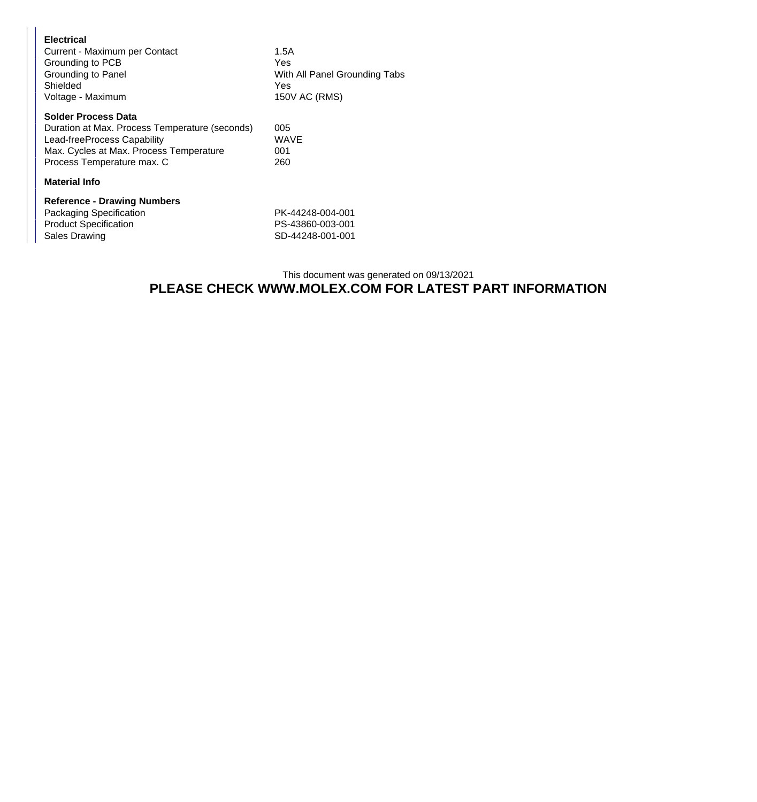| <b>Electrical</b><br>Shielded | Current - Maximum per Contact<br>Grounding to PCB<br>Grounding to Panel<br>Voltage - Maximum                                                                                         | 1.5A<br><b>Yes</b><br>With All Panel Grounding Tabs<br><b>Yes</b><br>150V AC (RMS) |  |
|-------------------------------|--------------------------------------------------------------------------------------------------------------------------------------------------------------------------------------|------------------------------------------------------------------------------------|--|
|                               | <b>Solder Process Data</b><br>Duration at Max. Process Temperature (seconds)<br>Lead-freeProcess Capability<br>Max. Cycles at Max. Process Temperature<br>Process Temperature max. C | 005<br><b>WAVE</b><br>001<br>260                                                   |  |
|                               | <b>Material Info</b>                                                                                                                                                                 |                                                                                    |  |
| Sales Drawing                 | <b>Reference - Drawing Numbers</b><br><b>Packaging Specification</b><br><b>Product Specification</b>                                                                                 | PK-44248-004-001<br>PS-43860-003-001<br>SD-44248-001-001                           |  |

## This document was generated on 09/13/2021 **PLEASE CHECK WWW.MOLEX.COM FOR LATEST PART INFORMATION**